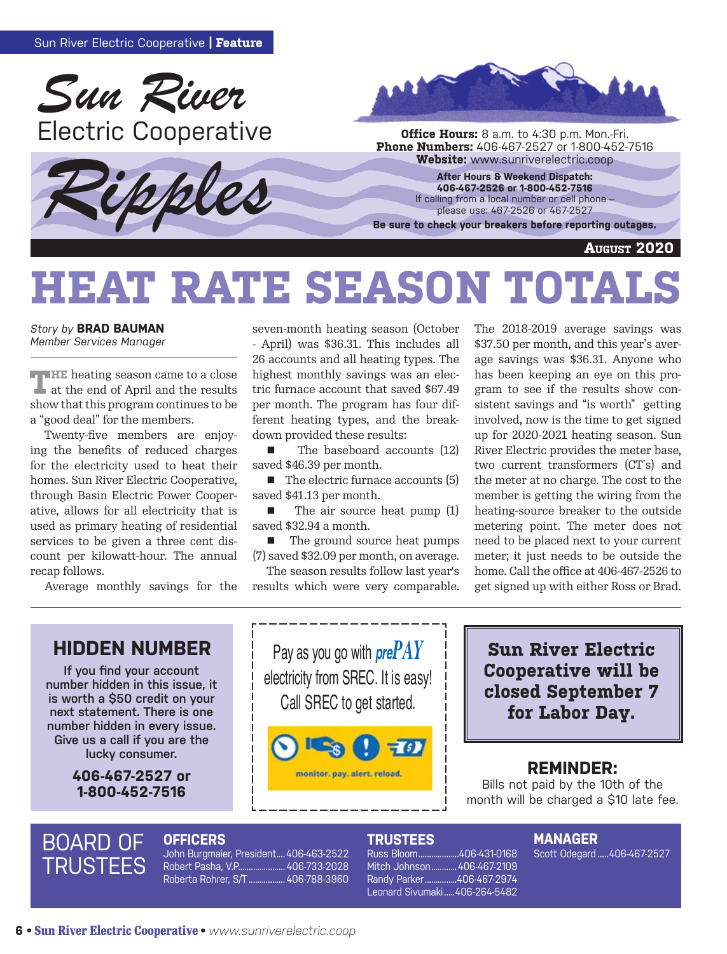





**Phone Numbers:** 406-467-2527 or 1-800-452-7516<br>**Website:** www.sunriverelectric.coop

**After Hours & Weekend Dispatch: 406-467-2526 or 1-800-452-7516** If calling from a local number or cell phone – please use: 467-2526 or 467-2527

**Be sure to check your breakers before reporting outages.**

**August 2020**

# **HEAT RATE SEASON TOTAL**

*Story by* **BRAD BAUMAN** *Member Services Manager*

**THE** heating season came to a close at the end of April and the results show that this program continues to be a "good deal" for the members.

Twenty-five members are enjoying the benefits of reduced charges for the electricity used to heat their homes. Sun River Electric Cooperative, through Basin Electric Power Cooperative, allows for all electricity that is used as primary heating of residential services to be given a three cent discount per kilowatt-hour. The annual recap follows.

Average monthly savings for the

seven-month heating season (October - April) was \$36.31. This includes all 26 accounts and all heating types. The highest monthly savings was an electric furnace account that saved \$67.49 per month. The program has four different heating types, and the breakdown provided these results:

 $\blacksquare$  The baseboard accounts (12) saved \$46.39 per month.

 $\blacksquare$  The electric furnace accounts (5) saved \$41.13 per month.

■ The air source heat pump (1) saved \$32.94 a month.

■ The ground source heat pumps (7) saved \$32.09 per month, on average.

The season results follow last year's results which were very comparable. The 2018-2019 average savings was \$37.50 per month, and this year's average savings was \$36.31. Anyone who has been keeping an eye on this program to see if the results show consistent savings and "is worth" getting involved, now is the time to get signed up for 2020-2021 heating season. Sun River Electric provides the meter base, two current transformers (CT's) and the meter at no charge. The cost to the member is getting the wiring from the heating-source breaker to the outside metering point. The meter does not need to be placed next to your current meter; it just needs to be outside the home. Call the office at 406-467-2526 to get signed up with either Ross or Brad.

### **HIDDEN NUMBER**

**If you find your account number hidden in this issue, it is worth a \$50 credit on your next statement. There is one number hidden in every issue. Give us a call if you are the lucky consumer.**

> **406-467-2527 or 1-800-452-7516**

Pay as you go with *prePAY* electricity from SREC. It is easy! Call SREC to get started.



**Sun River Electric Cooperative will be closed September 7 for Labor Day.**

#### **REMINDER:**

Bills not paid by the 10th of the month will be charged a \$10 late fee.

## BOARD OF **TRUSTEES**

**OFFICERS** John Burgmaier, President....406-463-2522 Robert Pasha, V.P...................... 406-733-2028 Roberta Rohrer, S/T ................. 406-788-3960

#### **TRUSTEES**

Russ Bloom...................406-431-0168 Mitch Johnson............406-467-2109 Randy Parker...............406-467-2974

Leonard Sivumaki .....406-264-5482

#### **MANAGER**

Scott Odegard .....406-467-2527